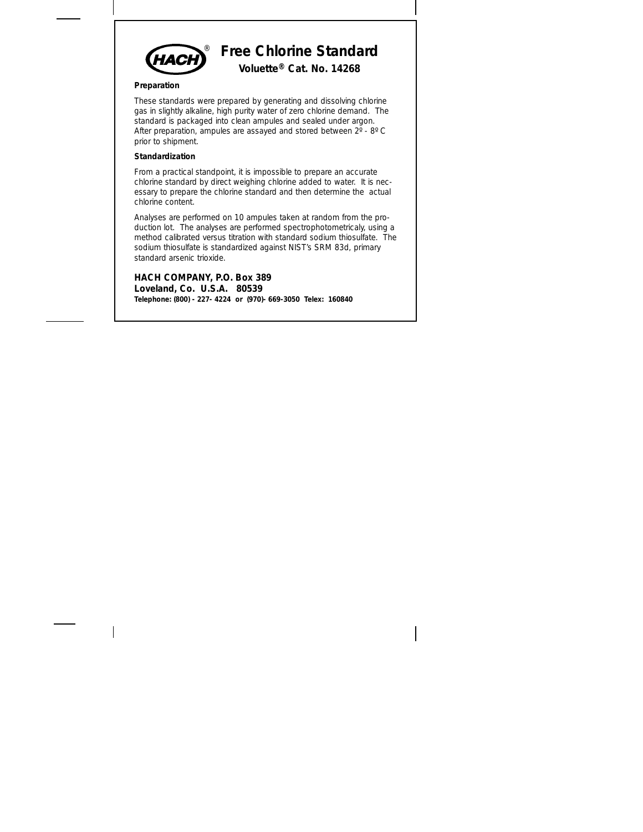

### **Preparation**

These standards were prepared by generating and dissolving chlorine gas in slightly alkaline, high purity water of zero chlorine demand. The standard is packaged into clean ampules and sealed under argon. After preparation, ampules are assayed and stored between  $2^{\circ}$  - 8° C prior to shipment.

### **Standardization**

From a practical standpoint, it is impossible to prepare an accurate chlorine standard by direct weighing chlorine added to water. It is necessary to prepare the chlorine standard and then determine the actual chlorine content.

Analyses are performed on 10 ampules taken at random from the production lot. The analyses are performed spectrophotometricaly, using a method calibrated versus titration with standard sodium thiosulfate. The sodium thiosulfate is standardized against NIST's SRM 83d, primary standard arsenic trioxide.

**HACH COMPANY, P.O. Box 389 Loveland, Co. U.S.A. 80539 Telephone: (800) - 227- 4224 or (970)- 669-3050 Telex: 160840**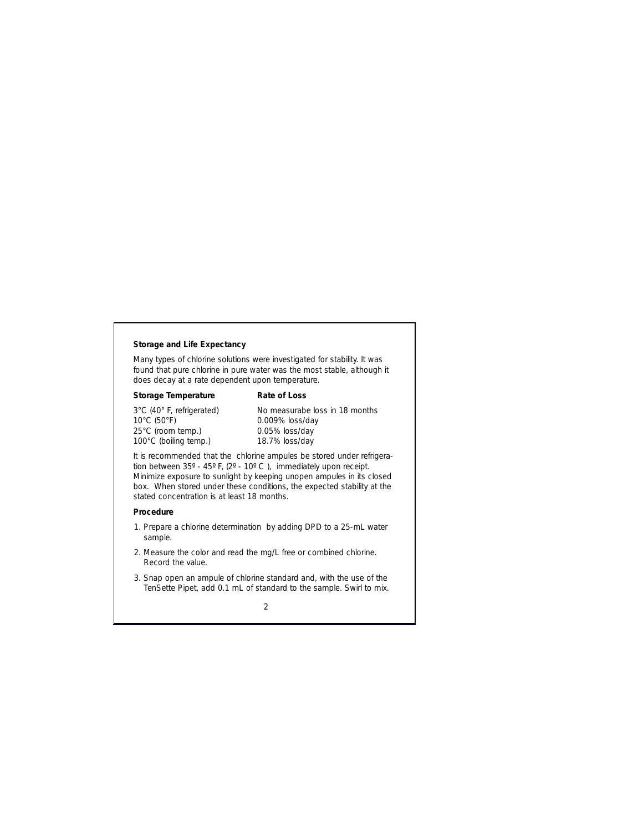# **Storage and Life Expectancy**

Many types of chlorine solutions were investigated for stability. It was found that pure chlorine in pure water was the most stable, although it does decay at a rate dependent upon temperature.

| Storage Temperature              | Rate of Loss                   |
|----------------------------------|--------------------------------|
| 3°C (40° F, refrigerated)        | No measurabe loss in 18 months |
| $10^{\circ}$ C (50 $^{\circ}$ F) | 0.009% loss/day                |
| 25°C (room temp.)                | 0.05% loss/day                 |
| 100°C (boiling temp.)            | 18.7% loss/day                 |

It is recommended that the chlorine ampules be stored under refrigeration between 35º - 45º F, (2º - 10º C ), immediately upon receipt. Minimize exposure to sunlight by keeping unopen ampules in its closed box. When stored under these conditions, the expected stability at the stated concentration is at least 18 months.

## **Procedure**

- 1. Prepare a chlorine determination by adding DPD to a 25-mL water sample.
- 2. Measure the color and read the mg/L free or combined chlorine. Record the value.
- 3. Snap open an ampule of chlorine standard and, with the use of the TenSette Pipet, add 0.1 mL of standard to the sample. Swirl to mix.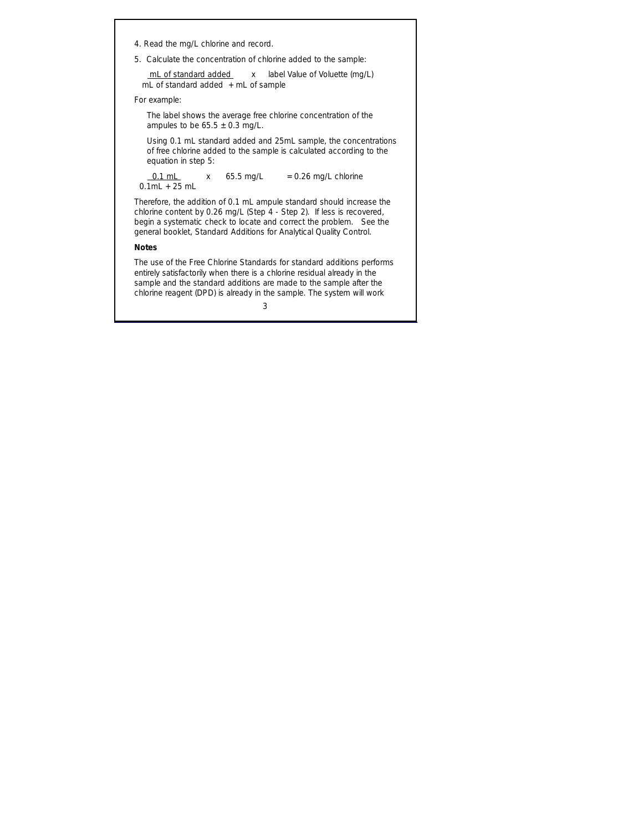- 4. Read the mg/L chlorine and record.
- 5. Calculate the concentration of chlorine added to the sample:

 mL of standard added x label Value of Voluette (mg/L) mL of standard added  $+$  mL of sample

*For example:*

The label shows the average free chlorine concentration of the ampules to be  $65.5 \pm 0.3$  mg/L.

Using 0.1 mL standard added and 25mL sample, the concentrations of free chlorine added to the sample is calculated according to the equation in step 5:

 $0.1$  mL  $x = 65.5$  mg/L  $x = 0.26$  mg/L chlorine  $0.1$ ml + 25 ml

Therefore, the addition of 0.1 mL ampule standard should increase the chlorine content by 0.26 mg/L (Step 4 - Step 2). If less is recovered, begin a systematic check to locate and correct the problem. See the general booklet, *Standard Additions for Analytical Quality Control.*

## **Notes**

The use of the Free Chlorine Standards for standard additions performs entirely satisfactorily when there is a chlorine residual already in the sample and the standard additions are made to the sample after the chlorine reagent (DPD) is already in the sample. The system will work